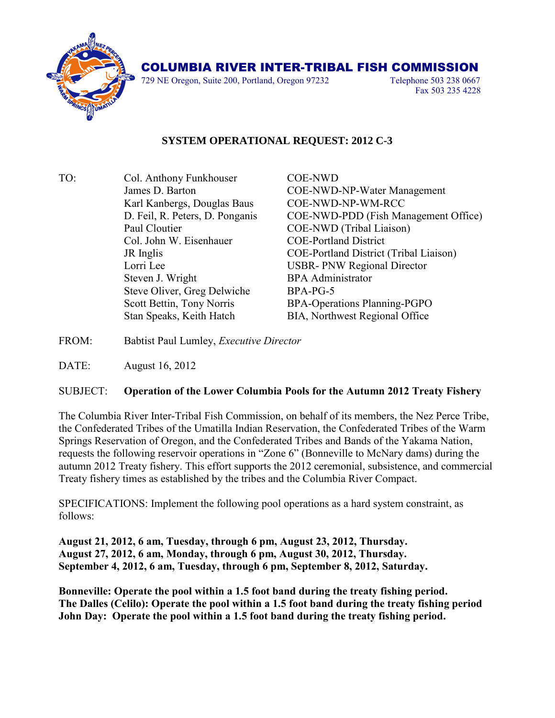

## COLUMBIA RIVER INTER-TRIBAL FISH COMMISSION

729 NE Oregon, Suite 200, Portland, Oregon 97232 Telephone 503 238 0667

Fax 503 235 4228

## **SYSTEM OPERATIONAL REQUEST: 2012 C-3**

- TO: Col. Anthony Funkhouser COE-NWD James D. Barton COE-NWD-NP-Water Management Karl Kanbergs, Douglas Baus COE-NWD-NP-WM-RCC D. Feil, R. Peters, D. Ponganis COE-NWD-PDD (Fish Management Office) Paul Cloutier COE-NWD (Tribal Liaison) Col. John W. Eisenhauer COE-Portland District JR Inglis COE-Portland District (Tribal Liaison) Lorri Lee USBR- PNW Regional Director Steven J. Wright BPA Administrator Steve Oliver, Greg Delwiche BPA-PG-5 Scott Bettin, Tony Norris BPA-Operations Planning-PGPO Stan Speaks, Keith Hatch BIA, Northwest Regional Office
- FROM: Babtist Paul Lumley, *Executive Director*

DATE: August 16, 2012

## SUBJECT: **Operation of the Lower Columbia Pools for the Autumn 2012 Treaty Fishery**

The Columbia River Inter-Tribal Fish Commission, on behalf of its members, the Nez Perce Tribe, the Confederated Tribes of the Umatilla Indian Reservation, the Confederated Tribes of the Warm Springs Reservation of Oregon, and the Confederated Tribes and Bands of the Yakama Nation, requests the following reservoir operations in "Zone 6" (Bonneville to McNary dams) during the autumn 2012 Treaty fishery. This effort supports the 2012 ceremonial, subsistence, and commercial Treaty fishery times as established by the tribes and the Columbia River Compact.

SPECIFICATIONS: Implement the following pool operations as a hard system constraint, as follows:

**August 21, 2012, 6 am, Tuesday, through 6 pm, August 23, 2012, Thursday. August 27, 2012, 6 am, Monday, through 6 pm, August 30, 2012, Thursday. September 4, 2012, 6 am, Tuesday, through 6 pm, September 8, 2012, Saturday.**

**Bonneville: Operate the pool within a 1.5 foot band during the treaty fishing period. The Dalles (Celilo): Operate the pool within a 1.5 foot band during the treaty fishing period John Day: Operate the pool within a 1.5 foot band during the treaty fishing period.**